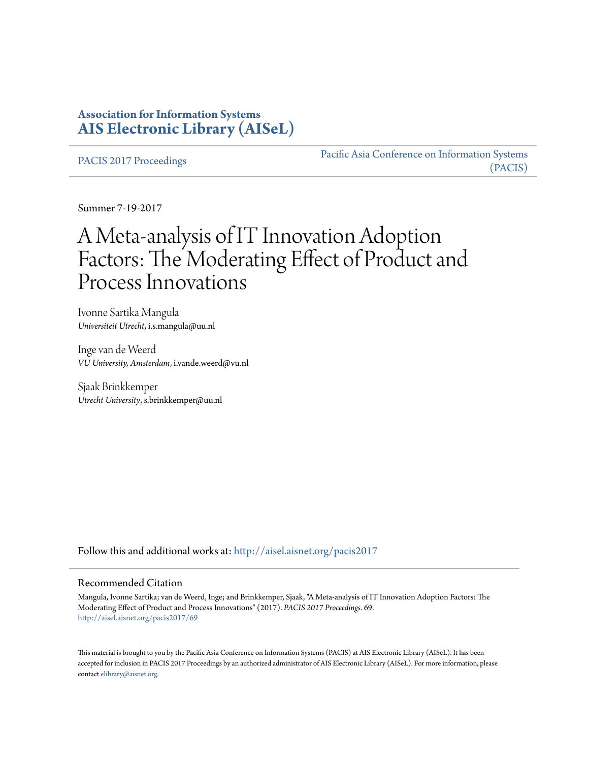# **Association for Information Systems [AIS Electronic Library \(AISeL\)](http://aisel.aisnet.org?utm_source=aisel.aisnet.org%2Fpacis2017%2F69&utm_medium=PDF&utm_campaign=PDFCoverPages)**

[PACIS 2017 Proceedings](http://aisel.aisnet.org/pacis2017?utm_source=aisel.aisnet.org%2Fpacis2017%2F69&utm_medium=PDF&utm_campaign=PDFCoverPages)

[Pacific Asia Conference on Information Systems](http://aisel.aisnet.org/pacis?utm_source=aisel.aisnet.org%2Fpacis2017%2F69&utm_medium=PDF&utm_campaign=PDFCoverPages) [\(PACIS\)](http://aisel.aisnet.org/pacis?utm_source=aisel.aisnet.org%2Fpacis2017%2F69&utm_medium=PDF&utm_campaign=PDFCoverPages)

Summer 7-19-2017

# A Meta-analysis of IT Innovation Adoption Factors: The Moderating Effect of Product and Process Innovations

Ivonne Sartika Mangula *Universiteit Utrecht*, i.s.mangula@uu.nl

Inge van de Weerd *VU University, Amsterdam*, i.vande.weerd@vu.nl

Sjaak Brinkkemper *Utrecht University*, s.brinkkemper@uu.nl

Follow this and additional works at: [http://aisel.aisnet.org/pacis2017](http://aisel.aisnet.org/pacis2017?utm_source=aisel.aisnet.org%2Fpacis2017%2F69&utm_medium=PDF&utm_campaign=PDFCoverPages)

#### Recommended Citation

Mangula, Ivonne Sartika; van de Weerd, Inge; and Brinkkemper, Sjaak, "A Meta-analysis of IT Innovation Adoption Factors: The Moderating Effect of Product and Process Innovations" (2017). *PACIS 2017 Proceedings*. 69. [http://aisel.aisnet.org/pacis2017/69](http://aisel.aisnet.org/pacis2017/69?utm_source=aisel.aisnet.org%2Fpacis2017%2F69&utm_medium=PDF&utm_campaign=PDFCoverPages)

This material is brought to you by the Pacific Asia Conference on Information Systems (PACIS) at AIS Electronic Library (AISeL). It has been accepted for inclusion in PACIS 2017 Proceedings by an authorized administrator of AIS Electronic Library (AISeL). For more information, please contact [elibrary@aisnet.org.](mailto:elibrary@aisnet.org%3E)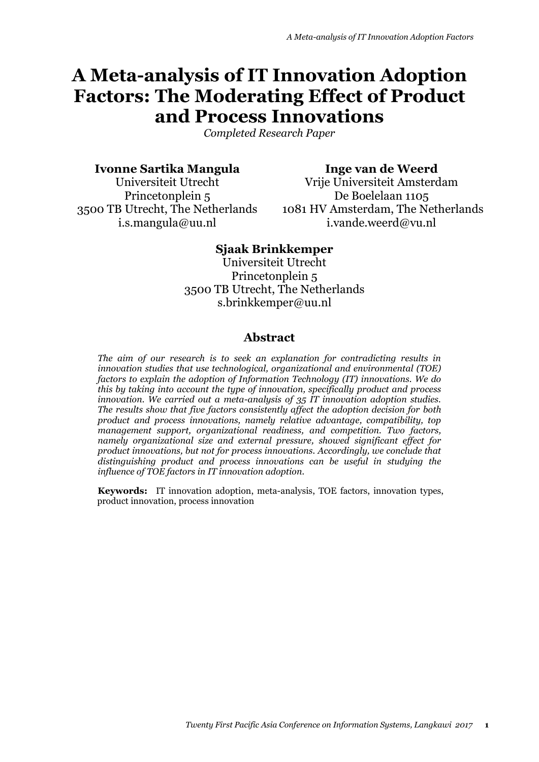# **A Meta-analysis of IT Innovation Adoption Factors: The Moderating Effect of Product and Process Innovations**

*Completed Research Paper*

## **Ivonne Sartika Mangula**

**Inge van de Weerd**

Universiteit Utrecht Princetonplein 5 3500 TB Utrecht, The Netherlands i.s.mangula@uu.nl

Vrije Universiteit Amsterdam De Boelelaan 1105 1081 HV Amsterdam, The Netherlands i.vande.weerd@vu.nl

## **Sjaak Brinkkemper**

Universiteit Utrecht Princetonplein 5 3500 TB Utrecht, The Netherlands s.brinkkemper@uu.nl

## **Abstract**

*The aim of our research is to seek an explanation for contradicting results in innovation studies that use technological, organizational and environmental (TOE) factors to explain the adoption of Information Technology (IT) innovations. We do this by taking into account the type of innovation, specifically product and process innovation. We carried out a meta-analysis of 35 IT innovation adoption studies. The results show that five factors consistently affect the adoption decision for both product and process innovations, namely relative advantage, compatibility, top management support, organizational readiness, and competition. Two factors, namely organizational size and external pressure, showed significant effect for product innovations, but not for process innovations. Accordingly, we conclude that distinguishing product and process innovations can be useful in studying the influence of TOE factors in IT innovation adoption.*

**Keywords:** IT innovation adoption, meta-analysis, TOE factors, innovation types, product innovation, process innovation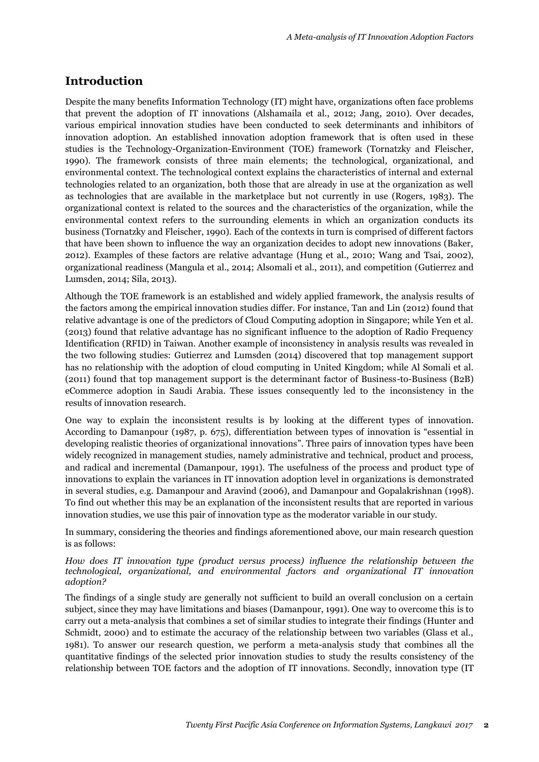# **Introduction**

Despite the many benefits Information Technology (IT) might have, organizations often face problems that prevent the adoption of IT innovations (Alshamaila et al., 2012; Jang, 2010). Over decades, various empirical innovation studies have been conducted to seek determinants and inhibitors of innovation adoption. An established innovation adoption framework that is often used in these studies is the Technology-Organization-Environment (TOE) framework (Tornatzky and Fleischer, 1990). The framework consists of three main elements; the technological, organizational, and environmental context. The technological context explains the characteristics of internal and external technologies related to an organization, both those that are already in use at the organization as well as technologies that are available in the marketplace but not currently in use (Rogers, 1983). The organizational context is related to the sources and the characteristics of the organization, while the environmental context refers to the surrounding elements in which an organization conducts its business (Tornatzky and Fleischer, 1990). Each of the contexts in turn is comprised of different factors that have been shown to influence the way an organization decides to adopt new innovations (Baker, 2012). Examples of these factors are relative advantage (Hung et al., 2010; Wang and Tsai, 2002), organizational readiness (Mangula et al., 2014; Alsomali et al., 2011), and competition (Gutierrez and Lumsden, 2014; Sila, 2013).

Although the TOE framework is an established and widely applied framework, the analysis results of the factors among the empirical innovation studies differ. For instance, Tan and Lin (2012) found that relative advantage is one of the predictors of Cloud Computing adoption in Singapore; while Yen et al. (2013) found that relative advantage has no significant influence to the adoption of Radio Frequency Identification (RFID) in Taiwan. Another example of inconsistency in analysis results was revealed in the two following studies: Gutierrez and Lumsden (2014) discovered that top management support has no relationship with the adoption of cloud computing in United Kingdom; while Al Somali et al. (2011) found that top management support is the determinant factor of Business-to-Business (B2B) eCommerce adoption in Saudi Arabia. These issues consequently led to the inconsistency in the results of innovation research.

One way to explain the inconsistent results is by looking at the different types of innovation. According to Damanpour (1987, p. 675), differentiation between types of innovation is "essential in developing realistic theories of organizational innovations". Three pairs of innovation types have been widely recognized in management studies, namely administrative and technical, product and process, and radical and incremental (Damanpour, 1991). The usefulness of the process and product type of innovations to explain the variances in IT innovation adoption level in organizations is demonstrated in several studies, e.g. Damanpour and Aravind (2006), and Damanpour and Gopalakrishnan (1998). To find out whether this may be an explanation of the inconsistent results that are reported in various innovation studies, we use this pair of innovation type as the moderator variable in our study.

In summary, considering the theories and findings aforementioned above, our main research question is as follows:

#### *How does IT innovation type (product versus process) influence the relationship between the technological, organizational, and environmental factors and organizational IT innovation adoption?*

The findings of a single study are generally not sufficient to build an overall conclusion on a certain subject, since they may have limitations and biases (Damanpour, 1991). One way to overcome this is to carry out a meta-analysis that combines a set of similar studies to integrate their findings (Hunter and Schmidt, 2000) and to estimate the accuracy of the relationship between two variables (Glass et al., 1981). To answer our research question, we perform a meta-analysis study that combines all the quantitative findings of the selected prior innovation studies to study the results consistency of the relationship between TOE factors and the adoption of IT innovations. Secondly, innovation type (IT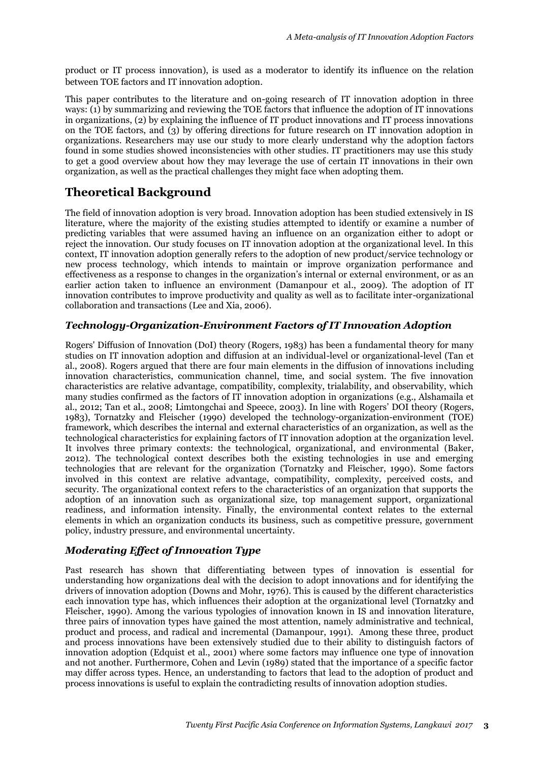product or IT process innovation), is used as a moderator to identify its influence on the relation between TOE factors and IT innovation adoption.

This paper contributes to the literature and on-going research of IT innovation adoption in three ways: (1) by summarizing and reviewing the TOE factors that influence the adoption of IT innovations in organizations, (2) by explaining the influence of IT product innovations and IT process innovations on the TOE factors, and (3) by offering directions for future research on IT innovation adoption in organizations. Researchers may use our study to more clearly understand why the adoption factors found in some studies showed inconsistencies with other studies. IT practitioners may use this study to get a good overview about how they may leverage the use of certain IT innovations in their own organization, as well as the practical challenges they might face when adopting them.

# **Theoretical Background**

The field of innovation adoption is very broad. Innovation adoption has been studied extensively in IS literature, where the majority of the existing studies attempted to identify or examine a number of predicting variables that were assumed having an influence on an organization either to adopt or reject the innovation. Our study focuses on IT innovation adoption at the organizational level. In this context, IT innovation adoption generally refers to the adoption of new product/service technology or new process technology, which intends to maintain or improve organization performance and effectiveness as a response to changes in the organization's internal or external environment, or as an earlier action taken to influence an environment (Damanpour et al., 2009). The adoption of IT innovation contributes to improve productivity and quality as well as to facilitate inter-organizational collaboration and transactions (Lee and Xia, 2006).

### *Technology-Organization-Environment Factors of IT Innovation Adoption*

Rogers' Diffusion of Innovation (DoI) theory (Rogers, 1983) has been a fundamental theory for many studies on IT innovation adoption and diffusion at an individual-level or organizational-level (Tan et al., 2008). Rogers argued that there are four main elements in the diffusion of innovations including innovation characteristics, communication channel, time, and social system. The five innovation characteristics are relative advantage, compatibility, complexity, trialability, and observability, which many studies confirmed as the factors of IT innovation adoption in organizations (e.g., Alshamaila et al., 2012; Tan et al., 2008; Limtongchai and Speece, 2003). In line with Rogers' DOI theory (Rogers, 1983), Tornatzky and Fleischer (1990) developed the technology-organization-environment (TOE) framework, which describes the internal and external characteristics of an organization, as well as the technological characteristics for explaining factors of IT innovation adoption at the organization level. It involves three primary contexts: the technological, organizational, and environmental (Baker, 2012). The technological context describes both the existing technologies in use and emerging technologies that are relevant for the organization (Tornatzky and Fleischer, 1990). Some factors involved in this context are relative advantage, compatibility, complexity, perceived costs, and security. The organizational context refers to the characteristics of an organization that supports the adoption of an innovation such as organizational size, top management support, organizational readiness, and information intensity. Finally, the environmental context relates to the external elements in which an organization conducts its business, such as competitive pressure, government policy, industry pressure, and environmental uncertainty.

#### *Moderating Effect of Innovation Type*

Past research has shown that differentiating between types of innovation is essential for understanding how organizations deal with the decision to adopt innovations and for identifying the drivers of innovation adoption (Downs and Mohr, 1976). This is caused by the different characteristics each innovation type has, which influences their adoption at the organizational level (Tornatzky and Fleischer, 1990). Among the various typologies of innovation known in IS and innovation literature, three pairs of innovation types have gained the most attention, namely administrative and technical, product and process, and radical and incremental (Damanpour, 1991). Among these three, product and process innovations have been extensively studied due to their ability to distinguish factors of innovation adoption (Edquist et al., 2001) where some factors may influence one type of innovation and not another. Furthermore, Cohen and Levin (1989) stated that the importance of a specific factor may differ across types. Hence, an understanding to factors that lead to the adoption of product and process innovations is useful to explain the contradicting results of innovation adoption studies.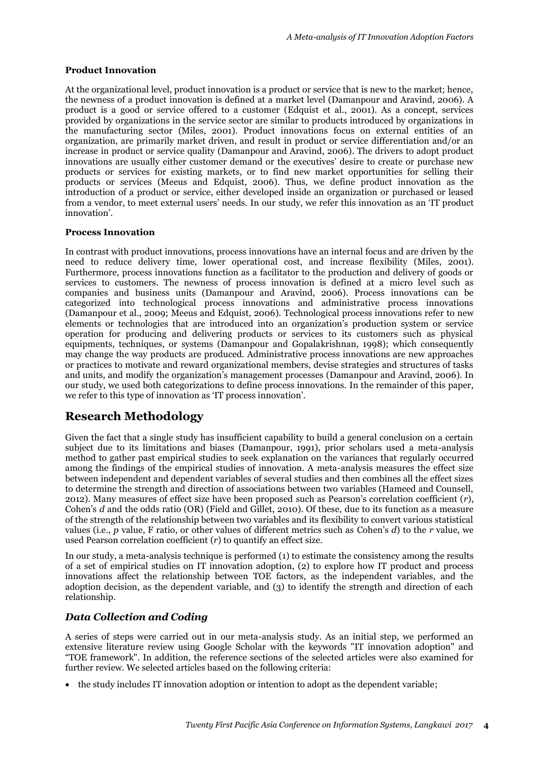#### **Product Innovation**

At the organizational level, product innovation is a product or service that is new to the market; hence, the newness of a product innovation is defined at a market level (Damanpour and Aravind, 2006). A product is a good or service offered to a customer (Edquist et al., 2001). As a concept, services provided by organizations in the service sector are similar to products introduced by organizations in the manufacturing sector (Miles, 2001). Product innovations focus on external entities of an organization, are primarily market driven, and result in product or service differentiation and/or an increase in product or service quality (Damanpour and Aravind, 2006). The drivers to adopt product innovations are usually either customer demand or the executives' desire to create or purchase new products or services for existing markets, or to find new market opportunities for selling their products or services (Meeus and Edquist, 2006). Thus, we define product innovation as the introduction of a product or service, either developed inside an organization or purchased or leased from a vendor, to meet external users' needs. In our study, we refer this innovation as an 'IT product innovation'.

#### **Process Innovation**

In contrast with product innovations, process innovations have an internal focus and are driven by the need to reduce delivery time, lower operational cost, and increase flexibility (Miles, 2001). Furthermore, process innovations function as a facilitator to the production and delivery of goods or services to customers. The newness of process innovation is defined at a micro level such as companies and business units (Damanpour and Aravind, 2006). Process innovations can be categorized into technological process innovations and administrative process innovations (Damanpour et al., 2009; Meeus and Edquist, 2006). Technological process innovations refer to new elements or technologies that are introduced into an organization's production system or service operation for producing and delivering products or services to its customers such as physical equipments, techniques, or systems (Damanpour and Gopalakrishnan, 1998); which consequently may change the way products are produced. Administrative process innovations are new approaches or practices to motivate and reward organizational members, devise strategies and structures of tasks and units, and modify the organization's management processes (Damanpour and Aravind, 2006). In our study, we used both categorizations to define process innovations. In the remainder of this paper, we refer to this type of innovation as 'IT process innovation'.

# **Research Methodology**

Given the fact that a single study has insufficient capability to build a general conclusion on a certain subject due to its limitations and biases (Damanpour, 1991), prior scholars used a meta-analysis method to gather past empirical studies to seek explanation on the variances that regularly occurred among the findings of the empirical studies of innovation. A meta-analysis measures the effect size between independent and dependent variables of several studies and then combines all the effect sizes to determine the strength and direction of associations between two variables (Hameed and Counsell, 2012). Many measures of effect size have been proposed such as Pearson's correlation coefficient (*r*), Cohen's *d* and the odds ratio (OR) (Field and Gillet, 2010). Of these, due to its function as a measure of the strength of the relationship between two variables and its flexibility to convert various statistical values (i.e., *p* value, F ratio, or other values of different metrics such as Cohen's *d*) to the *r* value, we used Pearson correlation coefficient (*r*) to quantify an effect size.

In our study, a meta-analysis technique is performed (1) to estimate the consistency among the results of a set of empirical studies on IT innovation adoption, (2) to explore how IT product and process innovations affect the relationship between TOE factors, as the independent variables, and the adoption decision, as the dependent variable, and (3) to identify the strength and direction of each relationship.

## *Data Collection and Coding*

A series of steps were carried out in our meta-analysis study. As an initial step, we performed an extensive literature review using Google Scholar with the keywords "IT innovation adoption" and "TOE framework". In addition, the reference sections of the selected articles were also examined for further review. We selected articles based on the following criteria:

• the study includes IT innovation adoption or intention to adopt as the dependent variable;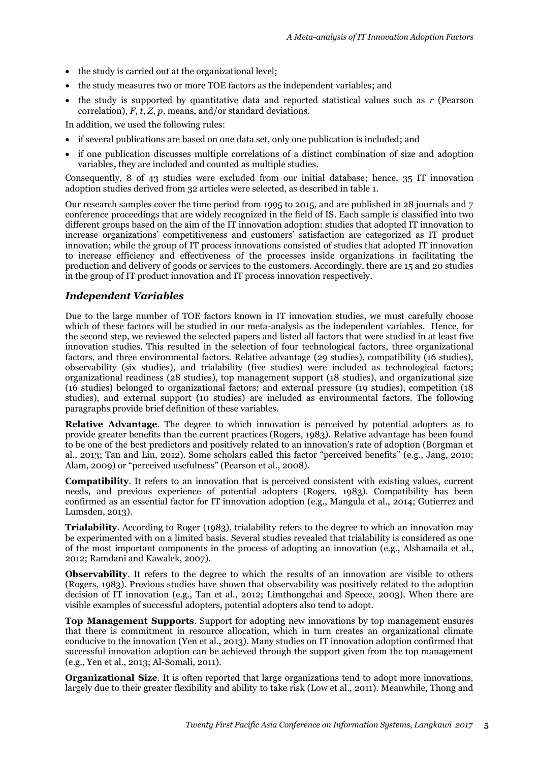- the study is carried out at the organizational level;
- the study measures two or more TOE factors as the independent variables; and
- the study is supported by quantitative data and reported statistical values such as *r* (Pearson correlation), *F*, *t*, *Z*, *p,* means, and/or standard deviations.

In addition, we used the following rules:

- if several publications are based on one data set, only one publication is included; and
- if one publication discusses multiple correlations of a distinct combination of size and adoption variables, they are included and counted as multiple studies.

Consequently, 8 of 43 studies were excluded from our initial database; hence, 35 IT innovation adoption studies derived from 32 articles were selected, as described in table 1.

Our research samples cover the time period from 1995 to 2015, and are published in 28 journals and 7 conference proceedings that are widely recognized in the field of IS. Each sample is classified into two different groups based on the aim of the IT innovation adoption: studies that adopted IT innovation to increase organizations' competitiveness and customers' satisfaction are categorized as IT product innovation; while the group of IT process innovations consisted of studies that adopted IT innovation to increase efficiency and effectiveness of the processes inside organizations in facilitating the production and delivery of goods or services to the customers. Accordingly, there are 15 and 20 studies in the group of IT product innovation and IT process innovation respectively.

#### *Independent Variables*

Due to the large number of TOE factors known in IT innovation studies, we must carefully choose which of these factors will be studied in our meta-analysis as the independent variables. Hence, for the second step, we reviewed the selected papers and listed all factors that were studied in at least five innovation studies. This resulted in the selection of four technological factors, three organizational factors, and three environmental factors. Relative advantage (29 studies), compatibility (16 studies), observability (six studies), and trialability (five studies) were included as technological factors; organizational readiness (28 studies), top management support (18 studies), and organizational size (16 studies) belonged to organizational factors; and external pressure (19 studies), competition (18 studies), and external support (10 studies) are included as environmental factors. The following paragraphs provide brief definition of these variables.

**Relative Advantage.** The degree to which innovation is perceived by potential adopters as to provide greater benefits than the current practices (Rogers, 1983). Relative advantage has been found to be one of the best predictors and positively related to an innovation's rate of adoption (Borgman et al., 2013; Tan and Lin, 2012). Some scholars called this factor "perceived benefits" (e.g., Jang, 2010; Alam, 2009) or "perceived usefulness" (Pearson et al., 2008).

**Compatibility**. It refers to an innovation that is perceived consistent with existing values, current needs, and previous experience of potential adopters (Rogers, 1983). Compatibility has been confirmed as an essential factor for IT innovation adoption (e.g., Mangula et al., 2014; Gutierrez and Lumsden, 2013).

**Trialability**. According to Roger (1983), trialability refers to the degree to which an innovation may be experimented with on a limited basis. Several studies revealed that trialability is considered as one of the most important components in the process of adopting an innovation (e.g., Alshamaila et al., 2012; Ramdani and Kawalek, 2007).

**Observability**. It refers to the degree to which the results of an innovation are visible to others (Rogers, 1983). Previous studies have shown that observability was positively related to the adoption decision of IT innovation (e.g., Tan et al., 2012; Limthongchai and Speece, 2003). When there are visible examples of successful adopters, potential adopters also tend to adopt.

**Top Management Supports**. Support for adopting new innovations by top management ensures that there is commitment in resource allocation, which in turn creates an organizational climate conducive to the innovation (Yen et al., 2013). Many studies on IT innovation adoption confirmed that successful innovation adoption can be achieved through the support given from the top management (e.g., Yen et al., 2013; Al-Somali, 2011).

**Organizational Size**. It is often reported that large organizations tend to adopt more innovations, largely due to their greater flexibility and ability to take risk (Low et al., 2011). Meanwhile, Thong and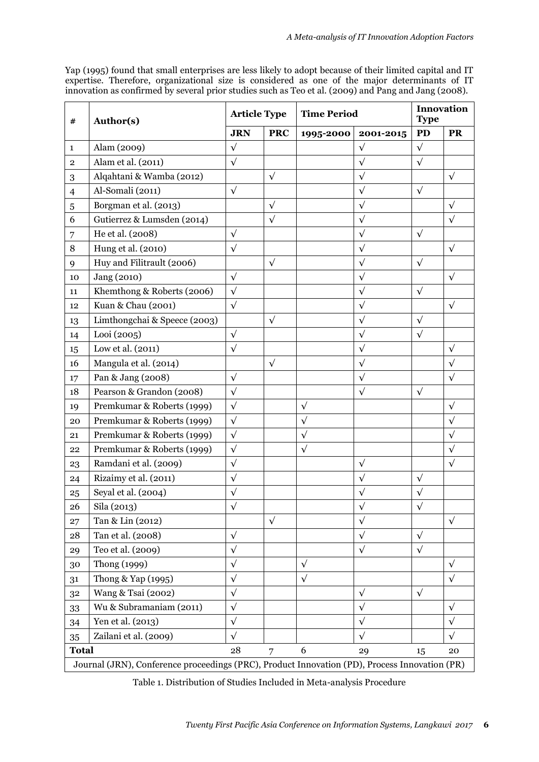Yap (1995) found that small enterprises are less likely to adopt because of their limited capital and IT expertise. Therefore, organizational size is considered as one of the major determinants of IT innovation as confirmed by several prior studies such as Teo et al. (2009) and Pang and Jang (2008).

| #                                                                                             | Author(s)                    | <b>Article Type</b> |            | <b>Time Period</b> |            | Innovation<br><b>Type</b> |            |
|-----------------------------------------------------------------------------------------------|------------------------------|---------------------|------------|--------------------|------------|---------------------------|------------|
|                                                                                               |                              | <b>JRN</b>          | <b>PRC</b> | 1995-2000          | 2001-2015  | <b>PD</b>                 | <b>PR</b>  |
| $\mathbf{1}$                                                                                  | Alam (2009)                  | $\sqrt{ }$          |            |                    | $\sqrt{ }$ | $\sqrt{}$                 |            |
| $\mathbf 2$                                                                                   | Alam et al. (2011)           | $\sqrt{}$           |            |                    | $\sqrt{}$  | $\sqrt{}$                 |            |
| 3                                                                                             | Alqahtani & Wamba (2012)     |                     | $\sqrt{}$  |                    | $\sqrt{ }$ |                           | $\sqrt{}$  |
| $\overline{4}$                                                                                | Al-Somali (2011)             | $\sqrt{ }$          |            |                    | $\sqrt{ }$ | $\sqrt{}$                 |            |
| 5                                                                                             | Borgman et al. (2013)        |                     | $\sqrt{ }$ |                    | $\sqrt{}$  |                           | $\sqrt{}$  |
| 6                                                                                             | Gutierrez & Lumsden (2014)   |                     | $\sqrt{}$  |                    | $\sqrt{ }$ |                           | $\sqrt{}$  |
| 7                                                                                             | He et al. (2008)             | $\sqrt{}$           |            |                    | $\sqrt{}$  | $\sqrt{}$                 |            |
| 8                                                                                             | Hung et al. (2010)           | $\sqrt{}$           |            |                    | $\sqrt{}$  |                           | $\sqrt{}$  |
| 9                                                                                             | Huy and Filitrault (2006)    |                     | $\sqrt{ }$ |                    | $\sqrt{ }$ | $\sqrt{ }$                |            |
| 10                                                                                            | Jang (2010)                  | $\sqrt{}$           |            |                    | $\sqrt{}$  |                           | $\sqrt{}$  |
| 11                                                                                            | Khemthong & Roberts (2006)   | $\sqrt{ }$          |            |                    | $\sqrt{}$  | $\sqrt{}$                 |            |
| 12                                                                                            | Kuan & Chau (2001)           | $\sqrt{}$           |            |                    | $\sqrt{ }$ |                           | $\sqrt{}$  |
| 13                                                                                            | Limthongchai & Speece (2003) |                     | $\sqrt{}$  |                    | $\sqrt{ }$ | $\sqrt{}$                 |            |
| 14                                                                                            | Looi (2005)                  | $\sqrt{}$           |            |                    | $\sqrt{}$  | $\sqrt{}$                 |            |
| 15                                                                                            | Low et al. (2011)            | $\sqrt{}$           |            |                    | $\sqrt{ }$ |                           | $\sqrt{}$  |
| 16                                                                                            | Mangula et al. (2014)        |                     | $\sqrt{}$  |                    | $\sqrt{ }$ |                           | $\sqrt{}$  |
| 17                                                                                            | Pan & Jang (2008)            | $\sqrt{}$           |            |                    | $\sqrt{}$  |                           | $\sqrt{ }$ |
| 18                                                                                            | Pearson & Grandon (2008)     | $\sqrt{}$           |            |                    | $\sqrt{ }$ | $\sqrt{}$                 |            |
| 19                                                                                            | Premkumar & Roberts (1999)   | $\sqrt{ }$          |            | $\sqrt{ }$         |            |                           | $\sqrt{}$  |
| 20                                                                                            | Premkumar & Roberts (1999)   | $\sqrt{ }$          |            | $\sqrt{}$          |            |                           | $\sqrt{}$  |
| 21                                                                                            | Premkumar & Roberts (1999)   | $\sqrt{}$           |            | $\sqrt{}$          |            |                           | $\sqrt{}$  |
| 22                                                                                            | Premkumar & Roberts (1999)   | $\sqrt{}$           |            | $\sqrt{ }$         |            |                           | $\sqrt{}$  |
| 23                                                                                            | Ramdani et al. (2009)        | $\sqrt{ }$          |            |                    | $\sqrt{ }$ |                           | $\sqrt{ }$ |
| 24                                                                                            | Rizaimy et al. (2011)        | $\sqrt{}$           |            |                    | $\sqrt{ }$ | $\sqrt{}$                 |            |
| 25                                                                                            | Seyal et al. (2004)          | $\sqrt{}$           |            |                    | $\sqrt{}$  | $\sqrt{}$                 |            |
| 26                                                                                            | Sila (2013)                  | $\sqrt{}$           |            |                    | $\sqrt{}$  | v                         |            |
| 27                                                                                            | Tan & Lin (2012)             |                     | $\sqrt{ }$ |                    | $\sqrt{ }$ |                           | $\sqrt{}$  |
| 28                                                                                            | Tan et al. (2008)            | $\sqrt{}$           |            |                    | $\sqrt{ }$ | $\sqrt{ }$                |            |
| 29                                                                                            | Teo et al. (2009)            | $\sqrt{}$           |            |                    | $\sqrt{ }$ | $\sqrt{ }$                |            |
| 30                                                                                            | Thong (1999)                 | $\sqrt{}$           |            | $\sqrt{ }$         |            |                           | $\sqrt{}$  |
| 31                                                                                            | Thong & Yap (1995)           | $\sqrt{}$           |            | $\sqrt{}$          |            |                           | $\sqrt{}$  |
| 32                                                                                            | Wang & Tsai (2002)           | $\sqrt{}$           |            |                    | $\sqrt{ }$ | $\sqrt{ }$                |            |
| 33                                                                                            | Wu & Subramaniam (2011)      | $\sqrt{}$           |            |                    | $\sqrt{ }$ |                           | $\sqrt{}$  |
| 34                                                                                            | Yen et al. (2013)            | $\sqrt{ }$          |            |                    | $\sqrt{ }$ |                           | $\sqrt{}$  |
| 35                                                                                            | Zailani et al. (2009)        | $\sqrt{}$           |            |                    | $\sqrt{ }$ |                           | $\sqrt{}$  |
| <b>Total</b>                                                                                  |                              | 28                  | 7          | 6                  | 29         | 15                        | 20         |
| Journal (JRN), Conference proceedings (PRC), Product Innovation (PD), Process Innovation (PR) |                              |                     |            |                    |            |                           |            |

Table 1. Distribution of Studies Included in Meta-analysis Procedure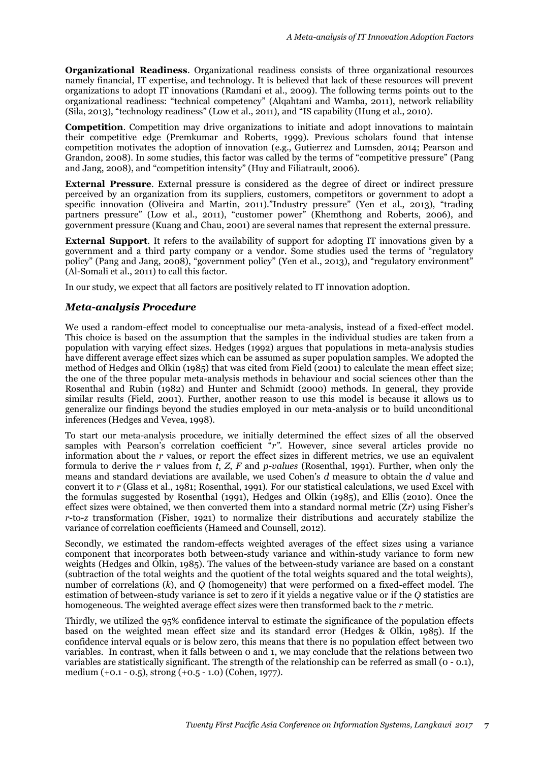**Organizational Readiness**. Organizational readiness consists of three organizational resources namely financial, IT expertise, and technology. It is believed that lack of these resources will prevent organizations to adopt IT innovations (Ramdani et al., 2009). The following terms points out to the organizational readiness: "technical competency" (Alqahtani and Wamba, 2011), network reliability (Sila, 2013), "technology readiness" (Low et al., 2011), and "IS capability (Hung et al., 2010).

**Competition**. Competition may drive organizations to initiate and adopt innovations to maintain their competitive edge (Premkumar and Roberts, 1999). Previous scholars found that intense competition motivates the adoption of innovation (e.g., Gutierrez and Lumsden, 2014; Pearson and Grandon, 2008). In some studies, this factor was called by the terms of "competitive pressure" (Pang and Jang, 2008), and "competition intensity" (Huy and Filiatrault, 2006).

**External Pressure**. External pressure is considered as the degree of direct or indirect pressure perceived by an organization from its suppliers, customers, competitors or government to adopt a specific innovation (Oliveira and Martin, 2011)."Industry pressure" (Yen et al., 2013), "trading partners pressure" (Low et al., 2011), "customer power" (Khemthong and Roberts, 2006), and government pressure (Kuang and Chau, 2001) are several names that represent the external pressure.

**External Support**. It refers to the availability of support for adopting IT innovations given by a government and a third party company or a vendor. Some studies used the terms of "regulatory policy" (Pang and Jang, 2008), "government policy" (Yen et al., 2013), and "regulatory environment" (Al-Somali et al., 2011) to call this factor.

In our study, we expect that all factors are positively related to IT innovation adoption.

#### *Meta-analysis Procedure*

We used a random-effect model to conceptualise our meta-analysis, instead of a fixed-effect model. This choice is based on the assumption that the samples in the individual studies are taken from a population with varying effect sizes. Hedges (1992) argues that populations in meta-analysis studies have different average effect sizes which can be assumed as super population samples. We adopted the method of Hedges and Olkin (1985) that was cited from Field (2001) to calculate the mean effect size; the one of the three popular meta-analysis methods in behaviour and social sciences other than the Rosenthal and Rubin (1982) and Hunter and Schmidt (2000) methods. In general, they provide similar results (Field, 2001). Further, another reason to use this model is because it allows us to generalize our findings beyond the studies employed in our meta-analysis or to build unconditional inferences (Hedges and Vevea, 1998).

To start our meta-analysis procedure, we initially determined the effect sizes of all the observed samples with Pearson's correlation coefficient "*r*". However, since several articles provide no information about the *r* values, or report the effect sizes in different metrics, we use an equivalent formula to derive the *r* values from *t*, *Z*, *F* and *p-values* (Rosenthal, 1991). Further, when only the means and standard deviations are available, we used Cohen's *d* measure to obtain the *d* value and convert it to *r* (Glass et al., 1981; Rosenthal, 1991). For our statistical calculations, we used Excel with the formulas suggested by Rosenthal (1991), Hedges and Olkin (1985), and Ellis (2010). Once the effect sizes were obtained, we then converted them into a standard normal metric (Z*r*) using Fisher's *r*-to-*z* transformation (Fisher, 1921) to normalize their distributions and accurately stabilize the variance of correlation coefficients (Hameed and Counsell, 2012).

Secondly, we estimated the random-effects weighted averages of the effect sizes using a variance component that incorporates both between-study variance and within-study variance to form new weights (Hedges and Olkin, 1985). The values of the between-study variance are based on a constant (subtraction of the total weights and the quotient of the total weights squared and the total weights), number of correlations (*k*), and *Q* (homogeneity) that were performed on a fixed-effect model. The estimation of between-study variance is set to zero if it yields a negative value or if the *Q* statistics are homogeneous. The weighted average effect sizes were then transformed back to the *r* metric.

Thirdly, we utilized the 95% confidence interval to estimate the significance of the population effects based on the weighted mean effect size and its standard error (Hedges & Olkin, 1985). If the confidence interval equals or is below zero, this means that there is no population effect between two variables. In contrast, when it falls between 0 and 1, we may conclude that the relations between two variables are statistically significant. The strength of the relationship can be referred as small (0 - 0.1), medium (+0.1 - 0.5), strong (+0.5 - 1.0) (Cohen, 1977).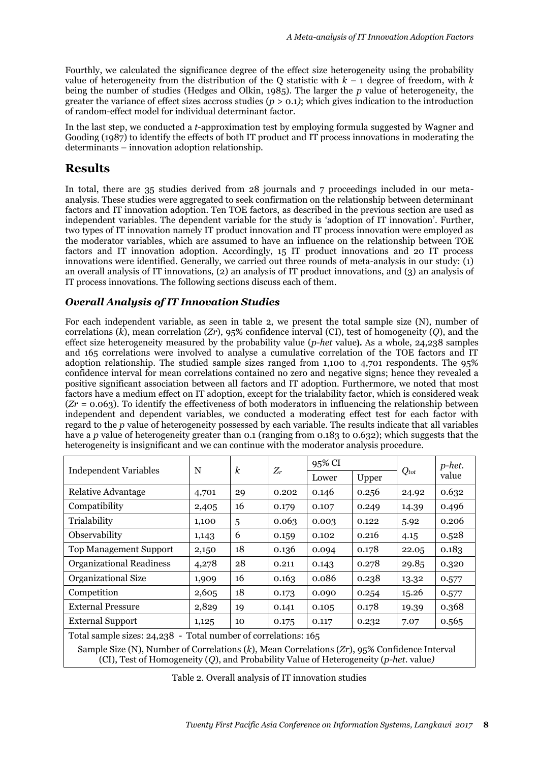Fourthly, we calculated the significance degree of the effect size heterogeneity using the probability value of heterogeneity from the distribution of the Q statistic with  $k - 1$  degree of freedom, with  $k$ being the number of studies (Hedges and Olkin, 1985). The larger the *p* value of heterogeneity, the greater the variance of effect sizes accross studies  $(p > 0.1)$ ; which gives indication to the introduction of random-effect model for individual determinant factor.

In the last step, we conducted a *t-*approximation test by employing formula suggested by Wagner and Gooding (1987) to identify the effects of both IT product and IT process innovations in moderating the determinants – innovation adoption relationship.

# **Results**

In total, there are 35 studies derived from 28 journals and 7 proceedings included in our metaanalysis. These studies were aggregated to seek confirmation on the relationship between determinant factors and IT innovation adoption. Ten TOE factors, as described in the previous section are used as independent variables. The dependent variable for the study is 'adoption of IT innovation'. Further, two types of IT innovation namely IT product innovation and IT process innovation were employed as the moderator variables, which are assumed to have an influence on the relationship between TOE factors and IT innovation adoption. Accordingly, 15 IT product innovations and 20 IT process innovations were identified. Generally, we carried out three rounds of meta-analysis in our study: (1) an overall analysis of IT innovations, (2) an analysis of IT product innovations, and (3) an analysis of IT process innovations. The following sections discuss each of them.

### *Overall Analysis of IT Innovation Studies*

For each independent variable, as seen in table 2, we present the total sample size (N), number of correlations (*k*), mean correlation (*Zr*), 95% confidence interval (CI), test of homogeneity (*Q*), and the effect size heterogeneity measured by the probability value (*p-het* value**).** As a whole, 24,238 samples and 165 correlations were involved to analyse a cumulative correlation of the TOE factors and IT adoption relationship. The studied sample sizes ranged from 1,100 to 4,701 respondents. The 95% confidence interval for mean correlations contained no zero and negative signs; hence they revealed a positive significant association between all factors and IT adoption. Furthermore, we noted that most factors have a medium effect on IT adoption, except for the trialability factor, which is considered weak  $(Zr = 0.063)$ . To identify the effectiveness of both moderators in influencing the relationship between independent and dependent variables, we conducted a moderating effect test for each factor with regard to the *p* value of heterogeneity possessed by each variable. The results indicate that all variables have a *p* value of heterogeneity greater than 0.1 (ranging from 0.183 to 0.632); which suggests that the heterogeneity is insignificant and we can continue with the moderator analysis procedure.

| <b>Independent Variables</b>                                   | N     | $\boldsymbol{k}$ | $Z_r$ | 95% CI |       |           | p-het. |
|----------------------------------------------------------------|-------|------------------|-------|--------|-------|-----------|--------|
|                                                                |       |                  |       | Lower  | Upper | $Q_{tot}$ | value  |
| Relative Advantage                                             | 4,701 | 29               | 0.202 | 0.146  | 0.256 | 24.92     | 0.632  |
| Compatibility                                                  | 2,405 | 16               | 0.179 | 0.107  | 0.249 | 14.39     | 0.496  |
| Trialability                                                   | 1,100 | 5                | 0.063 | 0.003  | 0.122 | 5.92      | 0.206  |
| Observability                                                  | 1,143 | 6                | 0.159 | 0.102  | 0.216 | 4.15      | 0.528  |
| <b>Top Management Support</b>                                  | 2,150 | 18               | 0.136 | 0.094  | 0.178 | 22.05     | 0.183  |
| <b>Organizational Readiness</b>                                | 4,278 | 28               | 0.211 | 0.143  | 0.278 | 29.85     | 0.320  |
| Organizational Size                                            | 1,909 | 16               | 0.163 | 0.086  | 0.238 | 13.32     | 0.577  |
| Competition                                                    | 2,605 | 18               | 0.173 | 0.090  | 0.254 | 15.26     | 0.577  |
| <b>External Pressure</b>                                       | 2,829 | 19               | 0.141 | 0.105  | 0.178 | 19.39     | 0.368  |
| <b>External Support</b>                                        | 1,125 | 10               | 0.175 | 0.117  | 0.232 | 7.07      | 0.565  |
| Total sample sizes: 24,238 - Total number of correlations: 165 |       |                  |       |        |       |           |        |

Sample Size (N), Number of Correlations (*k*), Mean Correlations (*Zr*), 95% Confidence Interval (CI), Test of Homogeneity (*Q*), and Probability Value of Heterogeneity (*p-het.* value*)*

Table 2. Overall analysis of IT innovation studies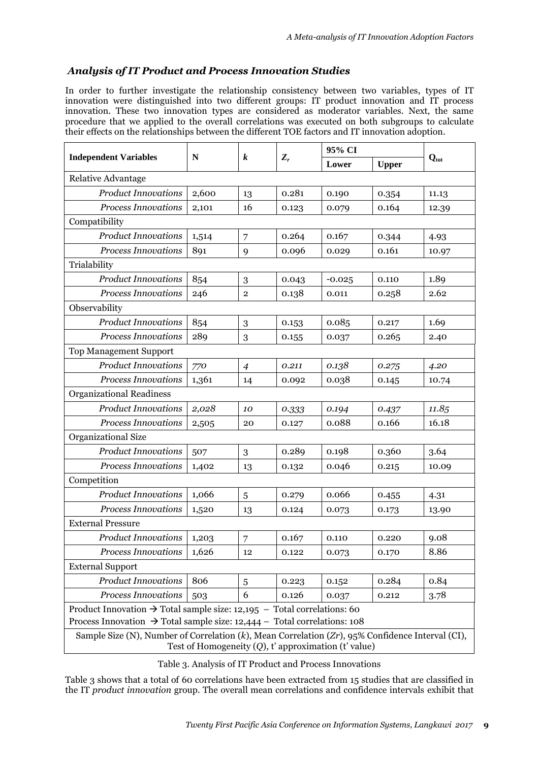## *Analysis of IT Product and Process Innovation Studies*

In order to further investigate the relationship consistency between two variables, types of IT innovation were distinguished into two different groups: IT product innovation and IT process innovation. These two innovation types are considered as moderator variables. Next, the same procedure that we applied to the overall correlations was executed on both subgroups to calculate their effects on the relationships between the different TOE factors and IT innovation adoption.

|                                                                                                                                                             | N     | k              | $Z_r$ | 95% CI   |              |                  |  |  |
|-------------------------------------------------------------------------------------------------------------------------------------------------------------|-------|----------------|-------|----------|--------------|------------------|--|--|
| <b>Independent Variables</b>                                                                                                                                |       |                |       | Lower    | <b>Upper</b> | $Q_{\text{tot}}$ |  |  |
| Relative Advantage                                                                                                                                          |       |                |       |          |              |                  |  |  |
| <b>Product Innovations</b>                                                                                                                                  | 2,600 | 13             | 0.281 | 0.190    | 0.354        | 11.13            |  |  |
| <b>Process Innovations</b>                                                                                                                                  | 2,101 | 16             | 0.123 | 0.079    | 0.164        | 12.39            |  |  |
| Compatibility                                                                                                                                               |       |                |       |          |              |                  |  |  |
| <b>Product Innovations</b>                                                                                                                                  | 1,514 | 7              | 0.264 | 0.167    | 0.344        | 4.93             |  |  |
| <b>Process Innovations</b>                                                                                                                                  | 891   | 9              | 0.096 | 0.029    | 0.161        | 10.97            |  |  |
| Trialability                                                                                                                                                |       |                |       |          |              |                  |  |  |
| <b>Product Innovations</b>                                                                                                                                  | 854   | 3              | 0.043 | $-0.025$ | 0.110        | 1.89             |  |  |
| Process Innovations                                                                                                                                         | 246   | $\overline{2}$ | 0.138 | 0.011    | 0.258        | 2.62             |  |  |
| Observability                                                                                                                                               |       |                |       |          |              |                  |  |  |
| <b>Product Innovations</b>                                                                                                                                  | 854   | 3              | 0.153 | 0.085    | 0.217        | 1.69             |  |  |
| <b>Process Innovations</b>                                                                                                                                  | 289   | 3              | 0.155 | 0.037    | 0.265        | 2.40             |  |  |
| <b>Top Management Support</b>                                                                                                                               |       |                |       |          |              |                  |  |  |
| <b>Product Innovations</b>                                                                                                                                  | 770   | $\overline{4}$ | 0.211 | 0.138    | 0.275        | 4.20             |  |  |
| <b>Process Innovations</b>                                                                                                                                  | 1,361 | 14             | 0.092 | 0.038    | 0.145        | 10.74            |  |  |
| <b>Organizational Readiness</b>                                                                                                                             |       |                |       |          |              |                  |  |  |
| <b>Product Innovations</b>                                                                                                                                  | 2,028 | 10             | 0.333 | 0.194    | 0.437        | 11.85            |  |  |
| <b>Process Innovations</b>                                                                                                                                  | 2,505 | 20             | 0.127 | 0.088    | 0.166        | 16.18            |  |  |
| Organizational Size                                                                                                                                         |       |                |       |          |              |                  |  |  |
| <b>Product Innovations</b>                                                                                                                                  | 507   | 3              | 0.289 | 0.198    | 0.360        | 3.64             |  |  |
| <b>Process Innovations</b>                                                                                                                                  | 1,402 | 13             | 0.132 | 0.046    | 0.215        | 10.09            |  |  |
| Competition                                                                                                                                                 |       |                |       |          |              |                  |  |  |
| <b>Product Innovations</b>                                                                                                                                  | 1,066 | 5              | 0.279 | 0.066    | 0.455        | 4.31             |  |  |
| <b>Process Innovations</b>                                                                                                                                  | 1,520 | 13             | 0.124 | 0.073    | 0.173        | 13.90            |  |  |
| <b>External Pressure</b>                                                                                                                                    |       |                |       |          |              |                  |  |  |
| <b>Product Innovations</b>                                                                                                                                  | 1,203 | $\overline{7}$ | 0.167 | 0.110    | 0.220        | 9.08             |  |  |
| <b>Process Innovations</b>                                                                                                                                  | 1,626 | 12             | 0.122 | 0.073    | 0.170        | 8.86             |  |  |
| <b>External Support</b>                                                                                                                                     |       |                |       |          |              |                  |  |  |
| <b>Product Innovations</b>                                                                                                                                  | 806   | 5              | 0.223 | 0.152    | 0.284        | 0.84             |  |  |
| <b>Process Innovations</b>                                                                                                                                  | 503   | 6              | 0.126 | 0.037    | 0.212        | 3.78             |  |  |
| Product Innovation $\rightarrow$ Total sample size: 12,195 – Total correlations: 60                                                                         |       |                |       |          |              |                  |  |  |
| Process Innovation $\rightarrow$ Total sample size: 12,444 – Total correlations: 108                                                                        |       |                |       |          |              |                  |  |  |
| Sample Size (N), Number of Correlation (k), Mean Correlation (Zr), 95% Confidence Interval (CI),<br>Test of Homogeneity $(Q)$ , t' approximation (t' value) |       |                |       |          |              |                  |  |  |

Table 3. Analysis of IT Product and Process Innovations

Table 3 shows that a total of 60 correlations have been extracted from 15 studies that are classified in the IT *product innovation* group. The overall mean correlations and confidence intervals exhibit that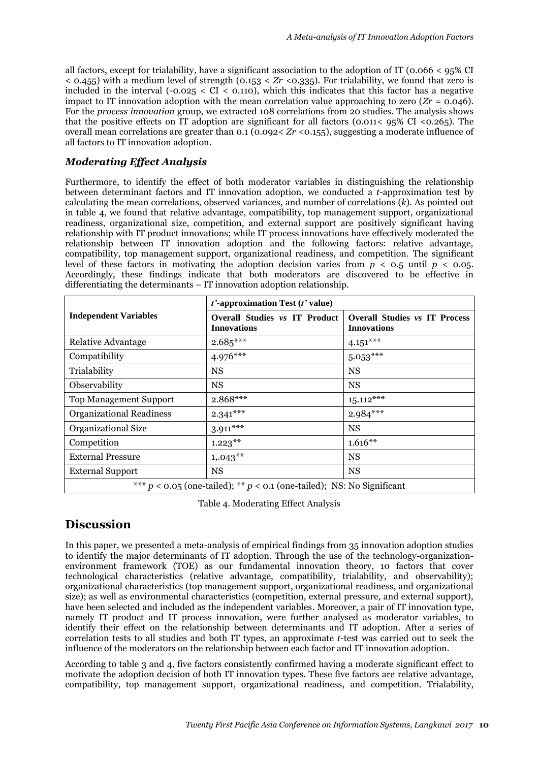all factors, except for trialability, have a significant association to the adoption of IT (0.066  $\lt$  95% CI  $\leq$  0.455) with a medium level of strength (0.153  $\leq$  Zr  $\leq$ 0.335). For trialability, we found that zero is included in the interval  $(-0.025 \leq CL \leq 0.110)$ , which this indicates that this factor has a negative impact to IT innovation adoption with the mean correlation value approaching to zero  $(Zr = 0.046)$ . For the *process innovation* group, we extracted 108 correlations from 20 studies. The analysis shows that the positive effects on IT adoption are significant for all factors (0.011< 95% CI <0.265). The overall mean correlations are greater than 0.1 (0.092< *Zr* <0.155), suggesting a moderate influence of all factors to IT innovation adoption.

### *Moderating Effect Analysis*

Furthermore, to identify the effect of both moderator variables in distinguishing the relationship between determinant factors and IT innovation adoption, we conducted a *t*-approximation test by calculating the mean correlations, observed variances, and number of correlations (*k*). As pointed out in table 4, we found that relative advantage, compatibility, top management support, organizational readiness, organizational size, competition, and external support are positively significant having relationship with IT product innovations; while IT process innovations have effectively moderated the relationship between IT innovation adoption and the following factors: relative advantage, compatibility, top management support, organizational readiness, and competition. The significant level of these factors in motivating the adoption decision varies from  $p < 0.5$  until  $p < 0.05$ . Accordingly, these findings indicate that both moderators are discovered to be effective in differentiating the determinants – IT innovation adoption relationship.

|                                                                            | $t'$ -approximation Test ( $t'$ value)                     |                                                            |  |  |  |  |
|----------------------------------------------------------------------------|------------------------------------------------------------|------------------------------------------------------------|--|--|--|--|
| <b>Independent Variables</b>                                               | <b>Overall Studies vs IT Product</b><br><b>Innovations</b> | <b>Overall Studies vs IT Process</b><br><b>Innovations</b> |  |  |  |  |
| Relative Advantage                                                         | $2.685***$                                                 | $4.151***$                                                 |  |  |  |  |
| Compatibility                                                              | $4.976***$                                                 | $5.053***$                                                 |  |  |  |  |
| Trialability                                                               | NS                                                         | <b>NS</b>                                                  |  |  |  |  |
| Observability                                                              | <b>NS</b>                                                  | <b>NS</b>                                                  |  |  |  |  |
| <b>Top Management Support</b>                                              | $2.868***$                                                 | $15.112***$                                                |  |  |  |  |
| <b>Organizational Readiness</b>                                            | $2.341***$                                                 | $2.984***$                                                 |  |  |  |  |
| Organizational Size                                                        | $3.911***$                                                 | <b>NS</b>                                                  |  |  |  |  |
| Competition                                                                | $1.223***$                                                 | $1.616**$                                                  |  |  |  |  |
| <b>External Pressure</b>                                                   | $1,043**$                                                  | <b>NS</b>                                                  |  |  |  |  |
| <b>External Support</b>                                                    | <b>NS</b>                                                  | <b>NS</b>                                                  |  |  |  |  |
| *** $p < 0.05$ (one-tailed); ** $p < 0.1$ (one-tailed); NS: No Significant |                                                            |                                                            |  |  |  |  |

Table 4. Moderating Effect Analysis

# **Discussion**

In this paper, we presented a meta-analysis of empirical findings from 35 innovation adoption studies to identify the major determinants of IT adoption. Through the use of the technology-organizationenvironment framework (TOE) as our fundamental innovation theory, 10 factors that cover technological characteristics (relative advantage, compatibility, trialability, and observability); organizational characteristics (top management support, organizational readiness, and organizational size); as well as environmental characteristics (competition, external pressure, and external support), have been selected and included as the independent variables. Moreover, a pair of IT innovation type, namely IT product and IT process innovation, were further analysed as moderator variables, to identify their effect on the relationship between determinants and IT adoption. After a series of correlation tests to all studies and both IT types, an approximate *t*-test was carried out to seek the influence of the moderators on the relationship between each factor and IT innovation adoption.

According to table 3 and 4, five factors consistently confirmed having a moderate significant effect to motivate the adoption decision of both IT innovation types. These five factors are relative advantage, compatibility, top management support, organizational readiness, and competition. Trialability,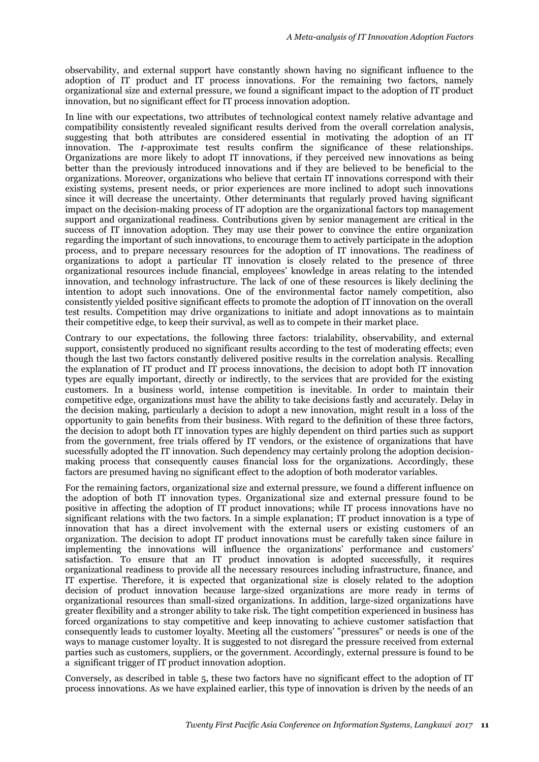observability, and external support have constantly shown having no significant influence to the adoption of IT product and IT process innovations. For the remaining two factors, namely organizational size and external pressure, we found a significant impact to the adoption of IT product innovation, but no significant effect for IT process innovation adoption.

In line with our expectations, two attributes of technological context namely relative advantage and compatibility consistently revealed significant results derived from the overall correlation analysis, suggesting that both attributes are considered essential in motivating the adoption of an IT innovation. The *t*-approximate test results confirm the significance of these relationships. Organizations are more likely to adopt IT innovations, if they perceived new innovations as being better than the previously introduced innovations and if they are believed to be beneficial to the organizations. Moreover, organizations who believe that certain IT innovations correspond with their existing systems, present needs, or prior experiences are more inclined to adopt such innovations since it will decrease the uncertainty. Other determinants that regularly proved having significant impact on the decision-making process of IT adoption are the organizational factors top management support and organizational readiness. Contributions given by senior management are critical in the success of IT innovation adoption. They may use their power to convince the entire organization regarding the important of such innovations, to encourage them to actively participate in the adoption process, and to prepare necessary resources for the adoption of IT innovations. The readiness of organizations to adopt a particular IT innovation is closely related to the presence of three organizational resources include financial, employees' knowledge in areas relating to the intended innovation, and technology infrastructure. The lack of one of these resources is likely declining the intention to adopt such innovations. One of the environmental factor namely competition, also consistently yielded positive significant effects to promote the adoption of IT innovation on the overall test results. Competition may drive organizations to initiate and adopt innovations as to maintain their competitive edge, to keep their survival, as well as to compete in their market place.

Contrary to our expectations, the following three factors: trialability, observability, and external support, consistently produced no significant results according to the test of moderating effects; even though the last two factors constantly delivered positive results in the correlation analysis. Recalling the explanation of IT product and IT process innovations, the decision to adopt both IT innovation types are equally important, directly or indirectly, to the services that are provided for the existing customers. In a business world, intense competition is inevitable. In order to maintain their competitive edge, organizations must have the ability to take decisions fastly and accurately. Delay in the decision making, particularly a decision to adopt a new innovation, might result in a loss of the opportunity to gain benefits from their business. With regard to the definition of these three factors, the decision to adopt both IT innovation types are highly dependent on third parties such as support from the government, free trials offered by IT vendors, or the existence of organizations that have sucessfully adopted the IT innovation. Such dependency may certainly prolong the adoption decisionmaking process that consequently causes financial loss for the organizations. Accordingly, these factors are presumed having no significant effect to the adoption of both moderator variables.

For the remaining factors, organizational size and external pressure, we found a different influence on the adoption of both IT innovation types. Organizational size and external pressure found to be positive in affecting the adoption of IT product innovations; while IT process innovations have no significant relations with the two factors. In a simple explanation; IT product innovation is a type of innovation that has a direct involvement with the external users or existing customers of an organization. The decision to adopt IT product innovations must be carefully taken since failure in implementing the innovations will influence the organizations' performance and customers' satisfaction. To ensure that an IT product innovation is adopted successfully, it requires organizational readiness to provide all the necessary resources including infrastructure, finance, and IT expertise. Therefore, it is expected that organizational size is closely related to the adoption decision of product innovation because large-sized organizations are more ready in terms of organizational resources than small-sized organizations. In addition, large-sized organizations have greater flexibility and a stronger ability to take risk. The tight competition experienced in business has forced organizations to stay competitive and keep innovating to achieve customer satisfaction that consequently leads to customer loyalty. Meeting all the customers' "pressures" or needs is one of the ways to manage customer loyalty. It is suggested to not disregard the pressure received from external parties such as customers, suppliers, or the government. Accordingly, external pressure is found to be a significant trigger of IT product innovation adoption.

Conversely, as described in table 5, these two factors have no significant effect to the adoption of IT process innovations. As we have explained earlier, this type of innovation is driven by the needs of an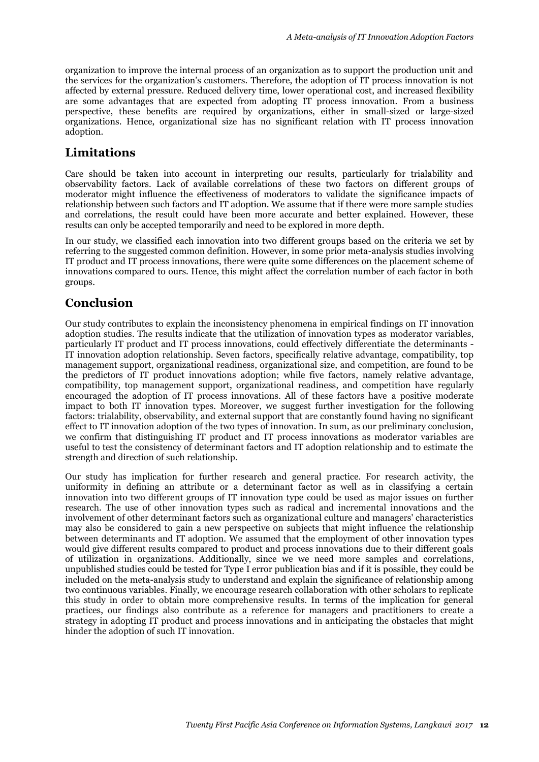organization to improve the internal process of an organization as to support the production unit and the services for the organization's customers. Therefore, the adoption of IT process innovation is not affected by external pressure. Reduced delivery time, lower operational cost, and increased flexibility are some advantages that are expected from adopting IT process innovation. From a business perspective, these benefits are required by organizations, either in small-sized or large-sized organizations. Hence, organizational size has no significant relation with IT process innovation adoption.

# **Limitations**

Care should be taken into account in interpreting our results, particularly for trialability and observability factors. Lack of available correlations of these two factors on different groups of moderator might influence the effectiveness of moderators to validate the significance impacts of relationship between such factors and IT adoption. We assume that if there were more sample studies and correlations, the result could have been more accurate and better explained. However, these results can only be accepted temporarily and need to be explored in more depth.

In our study, we classified each innovation into two different groups based on the criteria we set by referring to the suggested common definition. However, in some prior meta-analysis studies involving IT product and IT process innovations, there were quite some differences on the placement scheme of innovations compared to ours. Hence, this might affect the correlation number of each factor in both groups.

# **Conclusion**

Our study contributes to explain the inconsistency phenomena in empirical findings on IT innovation adoption studies. The results indicate that the utilization of innovation types as moderator variables, particularly IT product and IT process innovations, could effectively differentiate the determinants - IT innovation adoption relationship. Seven factors, specifically relative advantage, compatibility, top management support, organizational readiness, organizational size, and competition, are found to be the predictors of IT product innovations adoption; while five factors, namely relative advantage, compatibility, top management support, organizational readiness, and competition have regularly encouraged the adoption of IT process innovations. All of these factors have a positive moderate impact to both IT innovation types. Moreover, we suggest further investigation for the following factors: trialability, observability, and external support that are constantly found having no significant effect to IT innovation adoption of the two types of innovation. In sum, as our preliminary conclusion, we confirm that distinguishing IT product and IT process innovations as moderator variables are useful to test the consistency of determinant factors and IT adoption relationship and to estimate the strength and direction of such relationship.

Our study has implication for further research and general practice. For research activity, the uniformity in defining an attribute or a determinant factor as well as in classifying a certain innovation into two different groups of IT innovation type could be used as major issues on further research. The use of other innovation types such as radical and incremental innovations and the involvement of other determinant factors such as organizational culture and managers' characteristics may also be considered to gain a new perspective on subjects that might influence the relationship between determinants and IT adoption. We assumed that the employment of other innovation types would give different results compared to product and process innovations due to their different goals of utilization in organizations. Additionally, since we we need more samples and correlations, unpublished studies could be tested for Type I error publication bias and if it is possible, they could be included on the meta-analysis study to understand and explain the significance of relationship among two continuous variables. Finally, we encourage research collaboration with other scholars to replicate this study in order to obtain more comprehensive results. In terms of the implication for general practices, our findings also contribute as a reference for managers and practitioners to create a strategy in adopting IT product and process innovations and in anticipating the obstacles that might hinder the adoption of such IT innovation.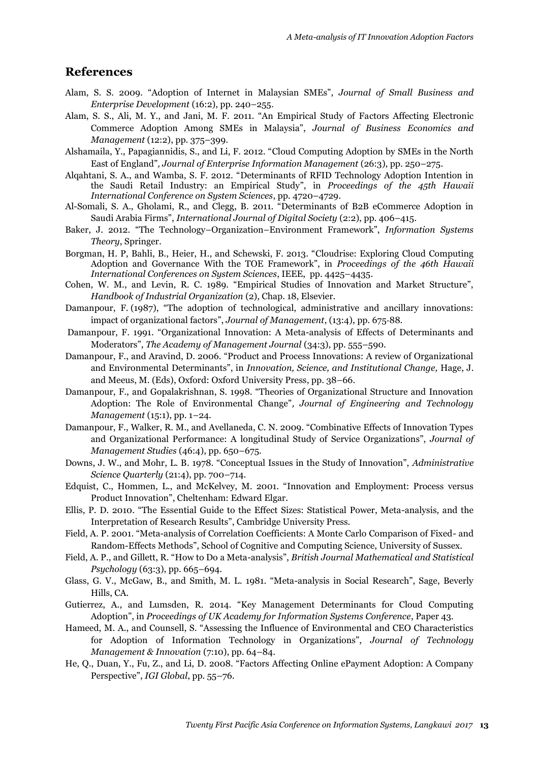## **References**

- Alam, S. S. 2009. "Adoption of Internet in Malaysian SMEs", *Journal of Small Business and Enterprise Development* (16:2), pp. 240–255.
- Alam, S. S., Ali, M. Y., and Jani, M. F. 2011. "An Empirical Study of Factors Affecting Electronic Commerce Adoption Among SMEs in Malaysia", *Journal of Business Economics and Management* (12:2), pp. 375–399.
- Alshamaila, Y., Papagiannidis, S., and Li, F. 2012. "Cloud Computing Adoption by SMEs in the North East of England"*, Journal of Enterprise Information Management* (26:3), pp. 250–275.
- Alqahtani, S. A., and Wamba, S. F. 2012. "Determinants of RFID Technology Adoption Intention in the Saudi Retail Industry: an Empirical Study", in *Proceedings of the 45th Hawaii International Conference on System Sciences*, pp. 4720–4729.
- Al-Somali, S. A., Gholami, R., and Clegg, B. 2011. "Determinants of B2B eCommerce Adoption in Saudi Arabia Firms", *International Journal of Digital Society* (2:2), pp. 406–415.
- Baker, J. 2012. "The Technology–Organization–Environment Framework", *Information Systems Theory*, Springer.
- Borgman, H. P, Bahli, B., Heier, H., and Schewski, F. 2013. "Cloudrise: Exploring Cloud Computing Adoption and Governance With the TOE Framework", in *Proceedings of the 46th Hawaii International Conferences on System Sciences*, IEEE, pp. 4425–4435.
- Cohen, W. M., and Levin, R. C. 1989. "Empirical Studies of Innovation and Market Structure", *Handbook of Industrial Organization* (2), Chap. 18, Elsevier.
- Damanpour, F. (1987), "The adoption of technological, administrative and ancillary innovations: impact of organizational factors", *Journal of Management*, (13:4), pp. 675‐88.
- Damanpour, F. 1991. "Organizational Innovation: A Meta-analysis of Effects of Determinants and Moderators", *The Academy of Management Journal* (34:3), pp. 555–590.
- Damanpour, F., and Aravind, D. 2006. "Product and Process Innovations: A review of Organizational and Environmental Determinants", in *Innovation, Science, and Institutional Change,* Hage, J. and Meeus, M. (Eds), Oxford: Oxford University Press, pp. 38–66.
- Damanpour, F., and Gopalakrishnan, S. 1998. "Theories of Organizational Structure and Innovation Adoption: The Role of Environmental Change"*, Journal of Engineering and Technology Management* (15:1), pp. 1–24.
- Damanpour, F., Walker, R. M., and Avellaneda, C. N. 2009. "Combinative Effects of Innovation Types and Organizational Performance: A longitudinal Study of Service Organizations", *Journal of Management Studies* (46:4), pp. 650–675.
- Downs, J. W., and Mohr, L. B. 1978. "Conceptual Issues in the Study of Innovation", *Administrative Science Quarterly* (21:4), pp. 700–714.
- Edquist, C., Hommen, L., and McKelvey, M. 2001. "Innovation and Employment: Process versus Product Innovation", Cheltenham: Edward Elgar.
- Ellis, P. D. 2010. "The Essential Guide to the Effect Sizes: Statistical Power, Meta-analysis, and the Interpretation of Research Results", Cambridge University Press.
- Field, A. P. 2001. "Meta-analysis of Correlation Coefficients: A Monte Carlo Comparison of Fixed- and Random-Effects Methods", School of Cognitive and Computing Science, University of Sussex.
- Field, A. P., and Gillett, R. "How to Do a Meta-analysis", *British Journal Mathematical and Statistical Psychology* (63:3), pp. 665–694.
- Glass, G. V., McGaw, B., and Smith, M. L. 1981. "Meta-analysis in Social Research", Sage, Beverly Hills, CA.
- Gutierrez, A., and Lumsden, R. 2014. "Key Management Determinants for Cloud Computing Adoption", in *Proceedings of UK Academy for Information Systems Conference*, Paper 43.
- Hameed, M. A., and Counsell, S. "Assessing the Influence of Environmental and CEO Characteristics for Adoption of Information Technology in Organizations", *Journal of Technology Management & Innovation* (7:10), pp. 64–84.
- He, Q., Duan, Y., Fu, Z., and Li, D. 2008. "Factors Affecting Online ePayment Adoption: A Company Perspective", *IGI Global*, pp. 55–76.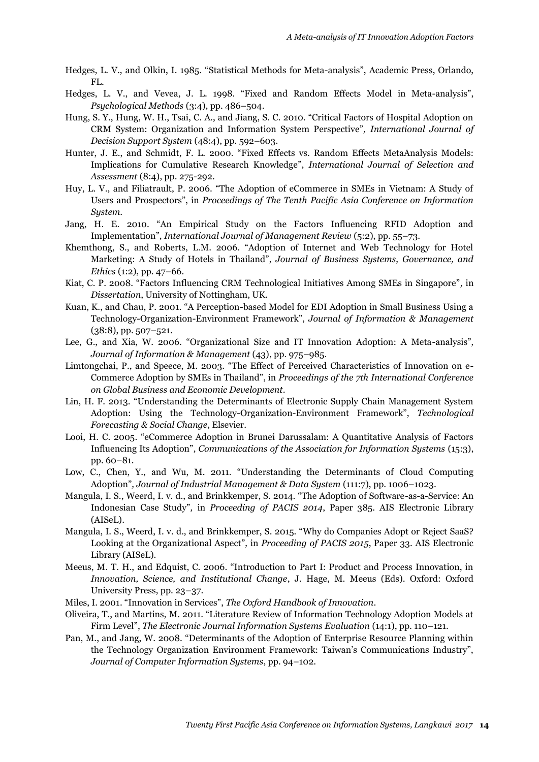- Hedges, L. V., and Olkin, I. 1985. "Statistical Methods for Meta-analysis", Academic Press, Orlando, FL.
- Hedges, L. V., and Vevea, J. L. 1998. "Fixed and Random Effects Model in Meta-analysis", *Psychological Methods* (3:4), pp. 486–504.
- Hung, S. Y., Hung, W. H., Tsai, C. A., and Jiang, S. C. 2010. "Critical Factors of Hospital Adoption on CRM System: Organization and Information System Perspective"*, International Journal of Decision Support System* (48:4), pp. 592–603.
- Hunter, J. E., and Schmidt, F. L. 2000. "Fixed Effects vs. Random Effects MetaAnalysis Models: Implications for Cumulative Research Knowledge", *International Journal of Selection and Assessment* (8:4), pp. 275-292.
- Huy, L. V., and Filiatrault, P. 2006. "The Adoption of eCommerce in SMEs in Vietnam: A Study of Users and Prospectors", in *Proceedings of The Tenth Pacific Asia Conference on Information System*.
- Jang, H. E. 2010. "An Empirical Study on the Factors Influencing RFID Adoption and Implementation"*, International Journal of Management Review* (5:2), pp. 55–73.
- Khemthong, S., and Roberts, L.M. 2006. "Adoption of Internet and Web Technology for Hotel Marketing: A Study of Hotels in Thailand", *Journal of Business Systems, Governance, and Ethics* (1:2), pp. 47–66.
- Kiat, C. P. 2008. "Factors Influencing CRM Technological Initiatives Among SMEs in Singapore"*,* in *Dissertation*, University of Nottingham, UK.
- Kuan, K., and Chau, P. 2001. "A Perception-based Model for EDI Adoption in Small Business Using a Technology-Organization-Environment Framework", *Journal of Information & Management*  (38:8), pp. 507–521.
- Lee, G., and Xia, W. 2006. "Organizational Size and IT Innovation Adoption: A Meta-analysis"*, Journal of Information & Management* (43), pp. 975–985.
- Limtongchai, P., and Speece, M. 2003. "The Effect of Perceived Characteristics of Innovation on e-Commerce Adoption by SMEs in Thailand", in *Proceedings of the 7th International Conference on Global Business and Economic Development*.
- Lin, H. F. 2013. "Understanding the Determinants of Electronic Supply Chain Management System Adoption: Using the Technology-Organization-Environment Framework", *Technological Forecasting & Social Change*, Elsevier.
- Looi, H. C. 2005. "eCommerce Adoption in Brunei Darussalam: A Quantitative Analysis of Factors Influencing Its Adoption"*, Communications of the Association for Information Systems* (15:3), pp. 60–81.
- Low, C., Chen, Y., and Wu, M. 2011. "Understanding the Determinants of Cloud Computing Adoption"*, Journal of Industrial Management & Data System* (111:7), pp. 1006–1023.
- Mangula, I. S., Weerd, I. v. d., and Brinkkemper, S. 2014. "The Adoption of Software-as-a-Service: An Indonesian Case Study"*,* in *Proceeding of PACIS 2014*, Paper 385. AIS Electronic Library (AISeL).
- Mangula, I. S., Weerd, I. v. d., and Brinkkemper, S. 2015. "Why do Companies Adopt or Reject SaaS? Looking at the Organizational Aspect"*,* in *Proceeding of PACIS 2015*, Paper 33. AIS Electronic Library (AISeL).
- Meeus, M. T. H., and Edquist, C. 2006. "Introduction to Part I: Product and Process Innovation, in *Innovation, Science, and Institutional Change*, J. Hage, M. Meeus (Eds). Oxford: Oxford University Press, pp. 23–37.
- Miles, I. 2001. "Innovation in Services", *The Oxford Handbook of Innovation*.
- Oliveira, T., and Martins, M. 2011. "Literature Review of Information Technology Adoption Models at Firm Level", *The Electronic Journal Information Systems Evaluation* (14:1), pp. 110–121.
- Pan, M., and Jang, W. 2008. "Determinants of the Adoption of Enterprise Resource Planning within the Technology Organization Environment Framework: Taiwan's Communications Industry", *Journal of Computer Information Systems*, pp. 94–102.